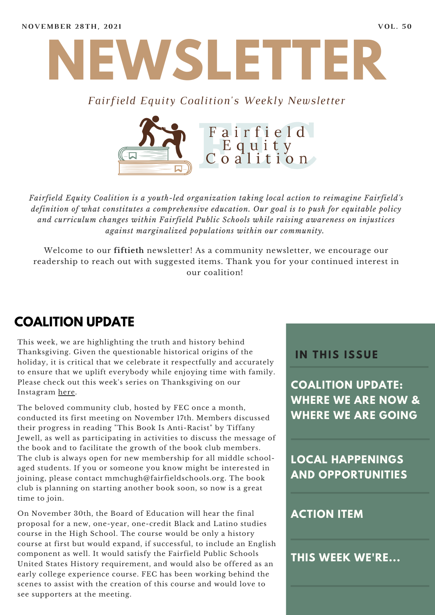

#### *Fairfield Equity Coalition's Weekly Newsletter*



*Fairfield Equity Coalition is a youth-led organization taking local action to reimagine Fairfield's definition of what constitutes a comprehensive education. Our goal is to push for equitable policy and curriculum changes within Fairfield Public Schools while raising awareness on injustices against marginalized populations within our community.*

Welcome to our **fiftieth** newsletter! As a community newsletter, we encourage our readership to reach out with suggested items. Thank you for your continued interest in our coalition!

## **COALITION UPDATE**

This week, we are highlighting the truth and history behind Thanksgiving. Given the questionable historical origins of the holiday, it is critical that we celebrate it respectfully and accurately to ensure that we uplift everybody while enjoying time with family. Please check out this week's series on Thanksgiving on our Instagram [here.](https://www.instagram.com/fairfieldequitycoalition/)

The beloved community club, hosted by FEC once a month, conducted its first meeting on November 17th. Members discussed their progress in reading "This Book Is Anti-Racist" by Tiffany Jewell, as well as participating in activities to discuss the message of the book and to facilitate the growth of the book club members. The club is always open for new membership for all middle schoolaged students. If you or someone you know might be interested in joining, please contact mmchugh@fairfieldschools.org. The book club is planning on starting another book soon, so now is a great time to join.

On November 30th, the Board of Education will hear the final proposal for a new, one-year, one-credit Black and Latino studies course in the High School. The course would be only a history course at first but would expand, if successful, to include an English component as well. It would satisfy the Fairfield Public Schools United States History requirement, and would also be offered as an early college experience course. FEC has been working behind the scenes to assist with the creation of this course and would love to see supporters at the meeting.

#### **I N THIS ISSUE**

**COALITION UPDATE: WHERE WE ARE NOW & WHERE WE ARE GOING**

**LOCAL HAPPENINGS AND OPPORTUNITIES**

#### **ACTION ITEM**

**THIS WEEK WE'RE...**